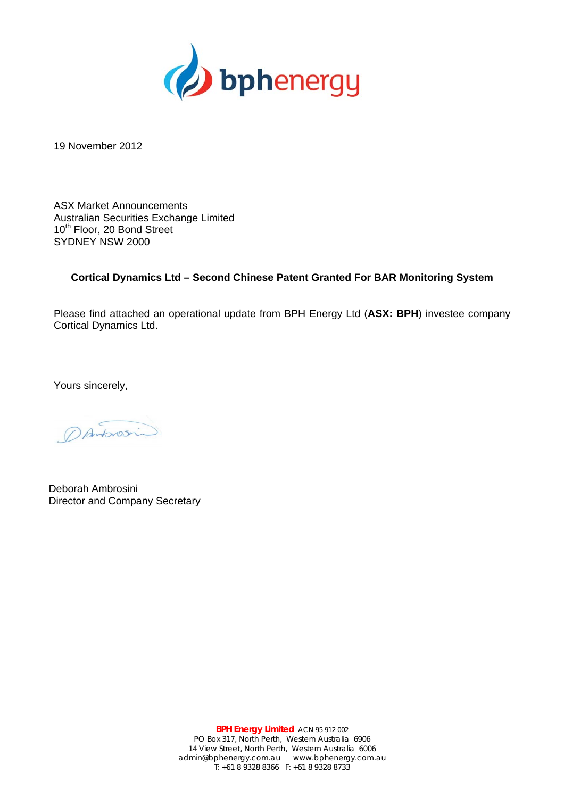

19 November 2012

ASX Market Announcements Australian Securities Exchange Limited 10<sup>th</sup> Floor, 20 Bond Street SYDNEY NSW 2000

## **Cortical Dynamics Ltd – Second Chinese Patent Granted For BAR Monitoring System**

Please find attached an operational update from BPH Energy Ltd (**ASX: BPH**) investee company Cortical Dynamics Ltd.

Yours sincerely,

Dantonosin

Deborah Ambrosini Director and Company Secretary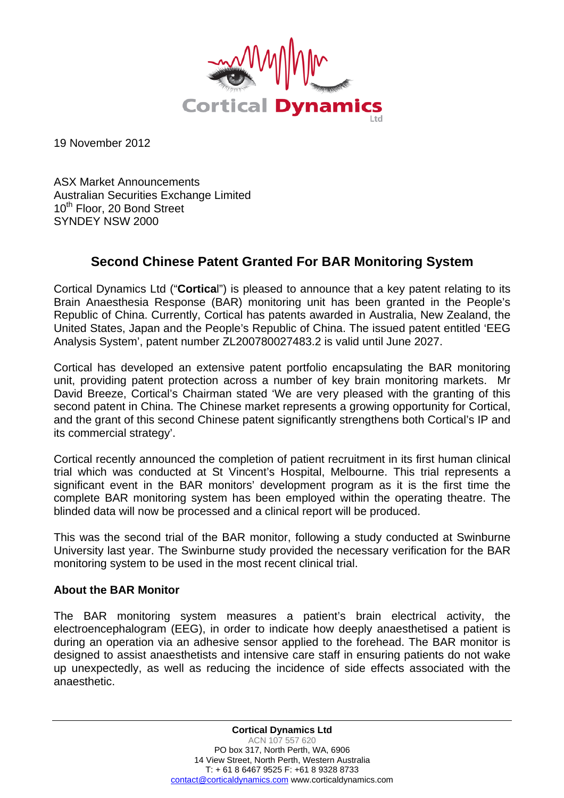

19 November 2012

ASX Market Announcements Australian Securities Exchange Limited 10<sup>th</sup> Floor, 20 Bond Street SYNDEY NSW 2000

## **Second Chinese Patent Granted For BAR Monitoring System**

Cortical Dynamics Ltd ("**Cortica**l") is pleased to announce that a key patent relating to its Brain Anaesthesia Response (BAR) monitoring unit has been granted in the People's Republic of China. Currently, Cortical has patents awarded in Australia, New Zealand, the United States, Japan and the People's Republic of China. The issued patent entitled 'EEG Analysis System', patent number ZL200780027483.2 is valid until June 2027.

Cortical has developed an extensive patent portfolio encapsulating the BAR monitoring unit, providing patent protection across a number of key brain monitoring markets. Mr David Breeze, Cortical's Chairman stated 'We are very pleased with the granting of this second patent in China. The Chinese market represents a growing opportunity for Cortical, and the grant of this second Chinese patent significantly strengthens both Cortical's IP and its commercial strategy'.

Cortical recently announced the completion of patient recruitment in its first human clinical trial which was conducted at St Vincent's Hospital, Melbourne. This trial represents a significant event in the BAR monitors' development program as it is the first time the complete BAR monitoring system has been employed within the operating theatre. The blinded data will now be processed and a clinical report will be produced.

This was the second trial of the BAR monitor, following a study conducted at Swinburne University last year. The Swinburne study provided the necessary verification for the BAR monitoring system to be used in the most recent clinical trial.

## **About the BAR Monitor**

The BAR monitoring system measures a patient's brain electrical activity, the electroencephalogram (EEG), in order to indicate how deeply anaesthetised a patient is during an operation via an adhesive sensor applied to the forehead. The BAR monitor is designed to assist anaesthetists and intensive care staff in ensuring patients do not wake up unexpectedly, as well as reducing the incidence of side effects associated with the anaesthetic.